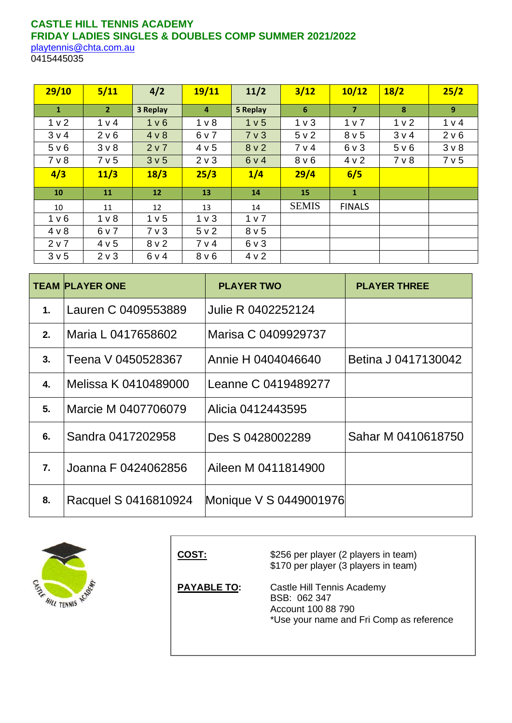# **CASTLE HILL TENNIS ACADEMY FRIDAY LADIES SINGLES & DOUBLES COMP SUMMER 2021/2022**

[playtennis@chta.com.au](mailto:playtennis@chta.com.au) 0415445035

| 29/10            | $5/11$         | 4/2              | 19/11            | 11/2             | 3/12             | 10/12            | 18/2           | 25/2           |
|------------------|----------------|------------------|------------------|------------------|------------------|------------------|----------------|----------------|
| $\mathbf{1}$     | 2 <sup>7</sup> | 3 Replay         | 4                | 5 Replay         | 6 <sup>1</sup>   | $\overline{7}$   | 8              | 9 <sup>°</sup> |
| 1 <sub>v</sub> 2 | 1 v 4          | 1 <sub>v</sub> 6 | 1 <sub>v</sub>   | 1 v 5            | 1 <sub>v</sub>   | 1 <sub>v</sub>   | 1 <sub>v</sub> | 1 v 4          |
| 3 <sub>v</sub> 4 | 2 v 6          | 4 v 8            | 6 v 7            | 7 <sub>v</sub> 3 | 5 v 2            | 8 <sub>v</sub> 5 | 3 v 4          | 2 v 6          |
| 5 v 6            | $3v$ 8         | 2 v 7            | 4 v 5            | 8 <sub>v</sub> 2 | 7 v 4            | $6v$ 3           | 5 v 6          | $3v$ 8         |
| 7 <sub>v</sub> 8 | 7 v 5          | 3 <sub>v</sub> 5 | $2 \vee 3$       | 6 v 4            | 8 <sub>v</sub> 6 | 4 v 2            | $7v$ 8         | 7 v 5          |
| 4/3              | 11/3           | 18/3             | 25/3             | 1/4              | 29/4             | 6/5              |                |                |
| 10               | 11             | <b>12</b>        | 13               | 14               | 15               | $\mathbf{1}$     |                |                |
| 10               | 11             | 12               | 13               | 14               | <b>SEMIS</b>     | <b>FINALS</b>    |                |                |
| 1 <sub>v</sub> 6 | 1 <sub>v</sub> | 1 <sub>v</sub> 5 | 1 <sub>v</sub>   | 1 v 7            |                  |                  |                |                |
| 4 v 8            | 6 v 7          | 7 <sub>v</sub> 3 | 5 v 2            | 8 <sub>v</sub> 5 |                  |                  |                |                |
| 2 v 7            | 4 v 5          | 8 <sub>v</sub> 2 | 7 v 4            | $6 \vee 3$       |                  |                  |                |                |
| 3 <sub>v</sub> 5 | 2 v 3          | 6 v 4            | 8 <sub>V</sub> 6 | 4 v 2            |                  |                  |                |                |

|                  | <b>TEAM PLAYER ONE</b> | <b>PLAYER TWO</b>      | <b>PLAYER THREE</b> |
|------------------|------------------------|------------------------|---------------------|
| 1.               | Lauren C 0409553889    | Julie R 0402252124     |                     |
| 2.               | Maria L 0417658602     | Marisa C 0409929737    |                     |
| 3.               | Teena V 0450528367     | Annie H 0404046640     | Betina J 0417130042 |
| 4.               | Melissa K 0410489000   | Leanne C 0419489277    |                     |
| 5.               | Marcie M 0407706079    | Alicia 0412443595      |                     |
| 6.               | Sandra 0417202958      | Des S 0428002289       | Sahar M 0410618750  |
| $\overline{7}$ . | Joanna F 0424062856    | Aileen M 0411814900    |                     |
| 8.               | Racquel S 0416810924   | Monique V S 0449001976 |                     |



| COST:              | \$256 per player (2 players in team)<br>\$170 per player (3 players in team)                                 |
|--------------------|--------------------------------------------------------------------------------------------------------------|
| <b>PAYABLE TO:</b> | Castle Hill Tennis Academy<br>BSB: 062 347<br>Account 100 88 790<br>*Use your name and Fri Comp as reference |